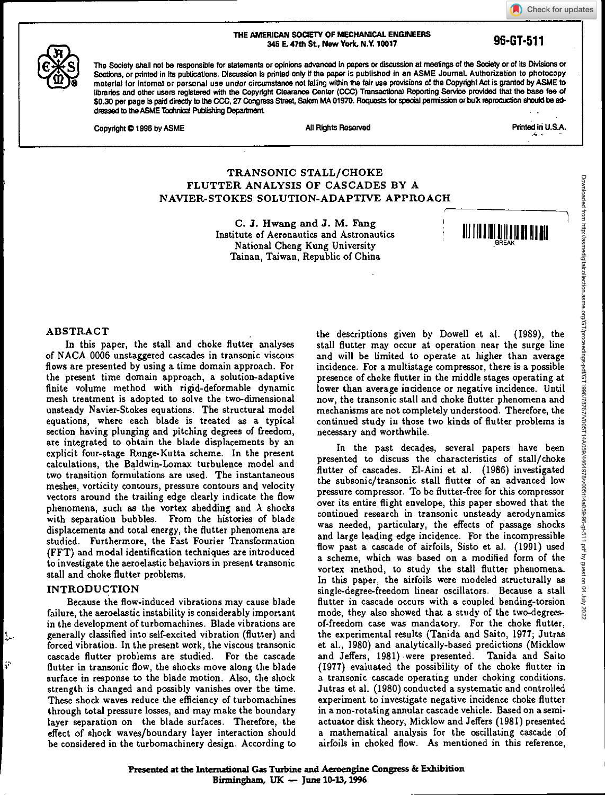Check for updates

#### **THE AMERICAN SOCIETY OF MECHANICAL ENGINEERS 345 E. 47th St, New York, N.Y. 10017 96-01-511**



**The Society shall not be responsible for statements or opinions advanced in papers or discussion at meetings of the Society or of its Divisions or**  Sections, or printed in its publications. Discussion is printed only if the paper is published in an ASME Journal. Authorization to photocopy **material for internal or personal use under circumstanoe not falling within the fair use provisions of the Copyright Act is granted by ASME to libraries and other users registered with the Copyright Clearance Center (CCC) Transactional Reporting Service provided that the base fee of \$0.30 per page is paid directly to the CCC, 27 Congress Street, Salem MA 01970. Requests for special permission or bulk reproduction shadd be addressed to the ASME Technical Publishing Department** 

**Copyright © 1996 by ASME** All Rights Reserved All Rights Reserved Printed in U.S.A.

4

# **TRANSONIC STALL/CHOKE FLUTTER ANALYSIS OF CASCADES BY A NAVIER-STOKES SOLUTION-ADAPTIVE APPROACH**

**C. J. Hwang and J. M. Fang**  Institute of Aeronautics and Astronautics National Cheng Kung University Tainan, Taiwan, Republic of China

**<sup>1111111111</sup> 1,1111111111111 1**

## **ABSTRACT**

In this paper, the stall and choke flutter **analyses**  of NACA 0006 unstaggered cascades in transonic viscous flows are presented by using a time domain approach. For the present time domain approach, a solution-adaptive finite volume method with rigid-deformable dynamic mesh treatment is adopted to solve the two-dimensional unsteady Navier-Stokes equations. The structural model equations, where each blade is treated as a typical section having plunging and pitching degrees of freedom, are integrated to obtain the blade displacements by an explicit four-stage Runge-Kutta scheme. In the present calculations, the Baldwin-Lomax turbulence model and two transition formulations are used. The instantaneous meshes, vorticity contours, pressure contours and velocity vectors around the trailing edge clearly indicate the flow phenomena, such as the vortex shedding and  $\lambda$  shocks with separation bubbles. From the histories of blade displacements and total energy, the flutter phenomena are studied. Furthermore, the Fast Fourier Transformation (FFT) and modal identification techniques are introduced to investigate the aeroelastic behaviors in present transonic stall and choke flutter problems.

## **INTRODUCTION**

L.

 $\hat{\mathbf{p}}$ 

Because the flow-induced vibrations may cause blade failure, the aeroelastic instability is considerably important in the development of turbomachines. Blade vibrations are generally classified into self-excited vibration (flutter) and forced vibration. In the present work, the viscous transonic cascade flutter problems are studied. For the cascade flutter in transonic flow, the shocks move along the blade surface in response to the blade motion. Also, the shock strength is changed and possibly vanishes over the time. These shock waves reduce the efficiency of turbomachines through total pressure losses, and may make the boundary layer separation on the blade surfaces. Therefore, the effect of shock waves/boundary layer interaction should be considered in the turbomachinery design. According to the descriptions given by Dowell et al. (1989), the stall flutter may occur at operation near the surge line and will be limited to operate at higher than average incidence. For a multistage compressor, there is a possible presence of choke flutter in the middle stages operating at lower than average incidence or negative incidence. Until now, the transonic stall and choke flutter phenomena and mechanisms are not completely understood. Therefore, the continued study in those two kinds of flutter problems is necessary and worthwhile.

In the past decades, several papers have been presented to discuss the characteristics of stall/choke flutter of cascades. El-Aini et al. (1986) investigated the subsonic/transonic stall flutter of an advanced low pressure compressor. To be flutter-free for this compressor over its entire flight envelope, this paper showed that the continued research in transonic unsteady aerodynamics was needed, particulary, the effects of passage shocks and large leading edge incidence. For the incompressible flow past a cascade of airfoils, Sisto et al. (1991) used a scheme, which was based on a modified form of the vortex method, to study the stall flutter phenomena. In this paper, the airfoils were modeled structurally as single-degree-freedom linear **oscillators.** Because a stall flutter in cascade occurs with a coupled bending-torsion mode, they **also** showed that a study of the two-degreesof-freedom case was mandatory. For the choke flutter, the experimental results (Tanida and **Saito, 1977;** Jutras et al., 1980) and analytically-based predictions (Micklow and Jeffers, 1981) -were presented. Tanida and Saito (1977) evaluated the possibility of the choke flutter in a transonic cascade operating under choking conditions. Jutras et al. (1980) conducted a systematic and controlled experiment to investigate negative incidence choke flutter in a non-rotating annular cascade vehicle. Based on a semiactuator disk theory, Micklow and Jeffers (1981) presented a mathematical analysis for the oscillating cascade of airfoils in choked flow. As mentioned in this reference,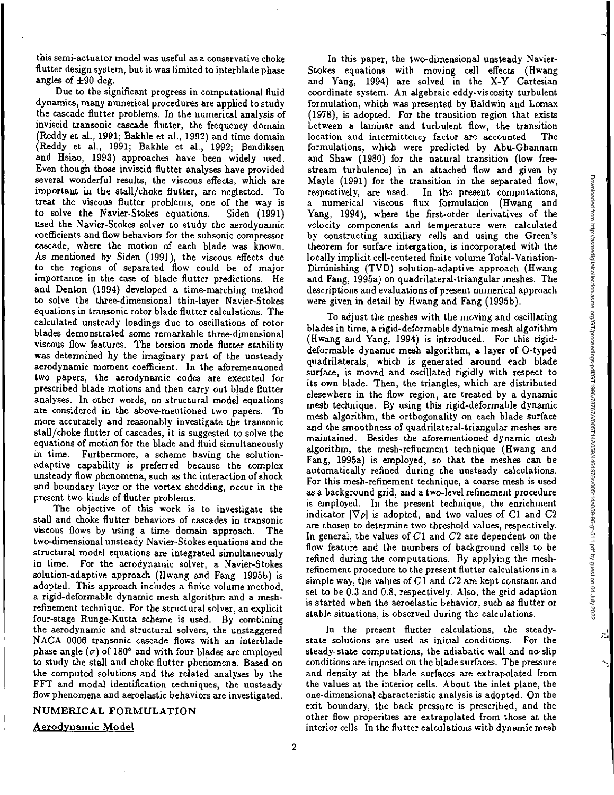리

 $\mathbf{v}$ 

this semi-actuator model was useful as a conservative choke flutter design system, but it was limited to interblade phase angles of  $\pm 90$  deg.

Due to the significant progress in computational fluid dynamics, many numerical procedures are applied to study the cascade flutter problems. In the numerical analysis of inviscid transonic cascade flutter, the frequency domain (Reddy et al., 1991; Bakhle et al., 1992) and time domain (Reddy et al., 1991; Bakhle et al., 1992; Bendiksen and Hsiao, 1993) approaches have been widely used. Even though those inviscid flutter analyses have provided several wonderful results, the viscous effects, which are important in the stall/choke flutter, are neglected. To treat the viscous flutter problems, one of the way is to solve the Navier-Stokes equations. Siden (1991) used the Navier-Stokes solver to study the aerodynamic coefficients and flow behaviors for the subsonic compressor cascade, where the motion of each blade was known. As mentioned by Siden (1991), the viscous effects due to the regions of separated flow could be of major importance in the case of blade flutter predictions. He and Denton (1994) developed a time-marching method to solve the three-dimensional thin-layer Navier-Stokes equations in transonic rotor blade flutter calculations. The calculated unsteady loadings due to oscillations of rotor blades demonstrated some remarkable three-dimensional viscous flow features. The torsion mode flutter stability *was* determined by the imaginary part of the unsteady aerodynamic moment coefficient. In the aforementioned two papers, the aerodynamic codes are executed for prescribed blade motions and then carry out blade flutter analyses. In other words, no structural model equations are considered in the above-mentioned two papers. To more accurately and reasonably investigate the transonic stall/choke flutter of cascades, it is suggested to solve the equations of motion for the blade and fluid simultaneously in time. Furthermore, a scheme having the solutionadaptive capability is preferred because the complex unsteady flow phenomena, such as the interaction of shock and boundary layer or the vortex shedding, occur in the present two kinds of flutter problems.

The objective of this work is to investigate the stall and choke flutter behaviors of cascades in transonic viscous flows by using a time domain approach. The two-dimensional unsteady Navier-Stokes equations and the structural model equations are integrated simultaneously in time. For the aerodynamic solver, a Navier-Stokes solution-adaptive approach (Hwang and Fang, 1995b) is adopted. This approach includes a finite volume method, a rigid-deformable dynamic mesh algorithm and a meshrefinement technique. For the structural solver, an explicit four-stage Runge-Kutta scheme is used. By combining the aerodynamic and structural solvers, the unstaggered NACA 0006 transonic cascade flows with an interblade phase angle  $(\sigma)$  of 180<sup>o</sup> and with four blades are employed to study the stall and choke flutter phenomena. Based on the computed solutions and the related analyses by the FFT and modal identification techniques, the unsteady flow phenomena and aeroelastic behaviors are investigated.

#### **NUMERICAL FORMULATION**

**Aerodynamic Model** 

In this paper, the two-dimensional unsteady Navier-Stokes equations with moving cell effects (Hwang and Yang, 1994) are solved in the X-Y Cartesian coordinate system. An algebraic eddy-viscosity turbulent formulation, which was presented by Baldwin and Lomax (1978), is adopted. For the transition region that exists between a laminar and turbulent flow, the transition location and intermittency factor are accounted. The formulations, which were predicted by Abu-Ghannam and Shaw (1980) for the natural transition (low freestream turbulence) in an attached flow and given by Mayle (1991) for the transition in the separated flow, respectively, are used. In the present computations, a numerical viscous flux formulation (Hwang and Yang, 1994), where the first-order derivatives of the velocity components and temperature were calculated by constructing auxiliary cells and using the Green's theorem for surface intergation, is incorporated with the locally implicit cell-centered finite volume Total-Variation-Diminishing (TVD) solution-adaptive approach (Hwang and Fang, 1995a) on quadrilateral-triangular meshes. The descriptions and evaluations of present numerical approach were given in detail by Hwang and Fang (19956).

To adjust the meshes with the moving and oscillating blades in time, a rigid-deformable dynamic mesh algorithm (Hwang and Yang, 1994) is introduced. For this rigiddeformable dynamic mesh algorithm, a layer of 0-typed quadrilaterals, which is generated around each blade surface, is moved and oscillated rigidly with respect to its own blade. Then, the triangles, which are distributed elesewhere in the flow region, are treated by a dynamic mesh technique. By using this rigid-deformable dynamic mesh algorithm, the orthogonality on each blade surface and the smoothness of quadrilateral-triangular meshes are maintained. Besides the aforementioned dynamic mesh algorithm, the mesh-refinement technique (Hwang and Fang, 1995a) is employed, so that the meshes can be automatically refined during the unsteady calculations. For this mesh-refinement technique, a coarse mesh is used as a background grid, and a two-level refinement procedure is employed. In the present technique, the enrichment indicator  $|\nabla \rho|$  is adopted, and two values of Cl and C2 are chosen to determine two threshold values, respectively. In general, the values of  $C1$  and  $C2$  are dependent on the flow feature and the numbers of background cells to be refined during the computations. By applying the meshrefinement procedure to the present flutter calculations in a simple way, the values of  $C1$  and  $C2$  are kept constant and set to be 0.3 and 0.8, respectively. Also, the grid adaption is started when the aeroelastic behavior, such as flutter or stable situations, is observed during the calculations.

In the present flutter calculations, the steadystate solutions are used as initial conditions. For the steady-state computations, the adiabatic wall and no-slip conditions are imposed on the blade surfaces. The pressure and density at the blade surfaces are extrapolated from the values at the interior cells. About the inlet plane, the one-dimensional characteristic analysis is adopted. On the exit boundary, the back pressure is prescribed, and the other flow properities are extrapolated from those at the interior cells. In the flutter calculations with dynamic mesh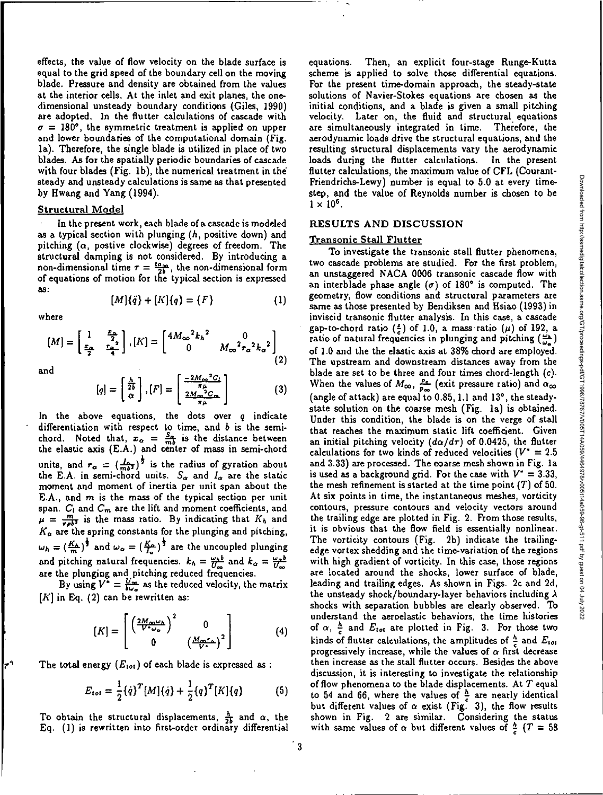effects, the value of flow velocity on the blade surface is equal to the grid speed of the boundary cell on the moving blade. Pressure and density are obtained from the values at the interior cells. At the inlet and exit planes, the onedimensional unsteady boundary conditions (Giles, 1990) are adopted. In the flutter calculations of cascade with  $\sigma = 180^{\circ}$ , the symmetric treatment is applied on upper and lower boundaries of the computational domain (Fig. la). Therefore, the single blade is utilized in place of two blades. As for the spatially periodic boundaries of cascade with four blades (Fig. lb), the numerical treatment in the' steady and unsteady calculations is same as that presented by Hwang and Yang (1994).

### Structural Model

In the present work, each blade of a cascade is modeled as a typical section with plunging (h, positive down) and pitching  $(\alpha, \text{ positive clockwise})$  degrees of freedom. The structural damping is not considered. By introducing a non-dimensional time  $\tau = \frac{4a_{\text{no}}}{2b}$ , the non-dimensional form of equations of motion for the typical section is expressed as:

 $[M]{\bar{q}} + [K]{q} = {F}$ 

where

$$
[M] = \begin{bmatrix} 1 & \frac{x_0}{2} \\ \frac{x_0}{2} & \frac{x_0^2}{4} \end{bmatrix}, [K] = \begin{bmatrix} 4M_{\infty}^2 k_h^2 & 0 \\ 0 & M_{\infty}^2 r_{\alpha}^2 k_{\alpha}^2 \end{bmatrix}
$$
(2)

and

$$
[q] = \begin{bmatrix} \frac{h}{2b} \\ \alpha \end{bmatrix}, [F] = \begin{bmatrix} \frac{-2M_{\infty}^{2}C_{I}}{\pi\mu} \\ \frac{2M_{\infty}^{2}C_{m}}{\pi\mu} \end{bmatrix}
$$
(3)

In the above equations, the dots over  $q$  indicate differentiation with respect to time, and  $b$  is the semichord. Noted that,  $x_{\alpha} = \frac{S_{\alpha}}{mb}$  is the distance between the elastic axis (E.A.) and center of mass in semi-chord units, and  $r_{\alpha} = (\frac{I_{\alpha}}{m b^{2}})^{2}$  is the radius of gyration about the E.A. in semi-chord units.  $S_{\alpha}$  and  $I_{\alpha}$  are the static moment and moment of inertia per unit span about the E.A., and  $m$  is the mass of the typical section per unit span.  $C_i$  and  $C_m$  are the lift and moment coefficients, and  $\mu = \frac{m}{\pi R b^2}$  is the mass ratio. By indicating that  $K_h$  and  $K_{\alpha}$  are the spring constants for the plunging and pitching,  $\omega_h = \left(\frac{K_h}{m}\right)^{\frac{1}{2}}$  and  $\omega_\alpha = \left(\frac{K_\alpha}{I_\alpha}\right)^{\frac{1}{2}}$  are the uncoupled plunging and pitching natural frequencies.  $k_h = \frac{\omega_h b}{U_{\infty}}$  and  $k_{\alpha} =$ are the plunging and pitching reduced frequencies.

By using  $V^* = \frac{U_{\text{max}}}{\delta w_{\text{max}}}$  as the reduced velocity, the matrix  $[K]$  in Eq. (2) can be rewritten as:

$$
[K] = \begin{bmatrix} \left(\frac{2M_{\infty}\omega_{h}}{V^{*}\omega_{\infty}}\right)^{2} & 0\\ 0 & \left(\frac{M_{\infty}r_{\infty}}{V^{*}}\right)^{2} \end{bmatrix}
$$
 (4)

The total energy  $(E_{tot})$  of each blade is expressed as :

$$
E_{tot} = \frac{1}{2} {\dot{q}}^T[M] {\dot{q}} + \frac{1}{2} {\left\{q\right\}}^T[K] {\left\{q\right\}} \tag{5}
$$

To obtain the structural displacements,  $\frac{\hbar}{2b}$  and  $\alpha$ , the Eq. (1) is rewritten into first-order ordinary differential equations. Then, an explicit four-stage Runge-Kutta scheme is applied to solve those differential equations. For the present time-domain approach, the steady-state solutions of Navier-Stokes equations are chosen as the initial conditions, and a blade is given a small pitching velocity. Later on, the fluid and structural equations are simultaneously integrated in time. Therefore, the aerodynamic loads drive the structural equations, and the resulting structural displacements vary the aerodynamic loads during the flutter calculations. In the present flutter calculations, the maximum value of CFL (Courant-Friendrichs-Lewy) number is equal to 5.0 at every timestep, and the value of Reynolds number is chosen to be  $1 \times 10^6$ .

### RESULTS AND DISCUSSION

### Transonic Stall Flutter

(1)

To investigate the transonic stall flutter phenomena, two cascade problems are studied. For the first problem, an unstaggered NACA 0006 transonic cascade flow with an interblade phase angle  $(\sigma)$  of 180° is computed. The geometry, flow conditions and structural parameters are same as those presented by Bendiksen and Hsiao (1993) in inviscid transonic flutter analysis. In this case, a cascade gap-to-chord ratio  $(\frac{z}{c})$  of 1.0, a mass ratio  $(\mu)$  of 192, a ratio of natural frequencies in plunging and pitching  $(\frac{\omega_{\lambda}}{\omega_{\alpha}})$ of 1.0 and the the elastic axis at 38% chord are employed. The upstream and downstream distances away from the blade are set to be three and four times chord-length (c). When the values of  $M_{\infty}$ ,  $\frac{p_a}{p_{\infty}}$  (exit pressure ratio) and  $\alpha_{\infty}$ (angle of attack) are equal to 0.85,1.1 and 13°, the steadystate solution on the coarse mesh (Fig. la) is obtained. Under this condition, the blade is on the verge of stall that reaches the maximum static lift coefficient. Given an initial pitching velocity  $(d\alpha/d\tau)$  of 0.0425, the flutter calculations for two kinds of reduced velocities ( $V^* = 2.5$ and 3.33) are processed. The coarse mesh shown in Fig. la is used as a background grid. For the case with  $V^* = 3.33$ , the mesh refinement is started at the time point  $(T)$  of 50. At six points in time, the instantaneous meshes, vorticity contours, pressure contours and velocity vectors around the trailing edge are plotted in Fig. 2. From those results, it is obvious that the flow field is essentially nonlinear. The vorticity contours (Fig. 2b) indicate the trailingedge vortex shedding and the time-variation of the regions with high gradient of vorticity. In this case, those regions are located around the shocks, lower surface of blade, leading and trailing edges. As shown in Figs. 2c and 2d, the unsteady shock/boundary-layer behaviors including  $\lambda$ shocks with separation bubbles are clearly observed. To understand the aeroelastic behaviors, the time histories of  $\alpha$ ,  $\frac{h}{c}$  and  $E_{tot}$  are plotted in Fig. 3. For those two kinds of flutter calculations, the amplitudes of  $\frac{h}{c}$  and  $E_{tot}$ progressively increase, while the values of  $\alpha$  first decrease then increase as the stall flutter occurs. Besides the above discussion, it is interesting to investigate the relationship of flow phenomena to the blade displacements. At  $T$  equal to 54 and 66, where the values of  $\frac{h}{c}$  are nearly identical but different values of  $\alpha$  exist (Fig. 3), the flow results shown in Fig. 2 are similar. Considering the status with same values of  $\alpha$  but different values of  $\frac{h}{c}$  (T = 58)

3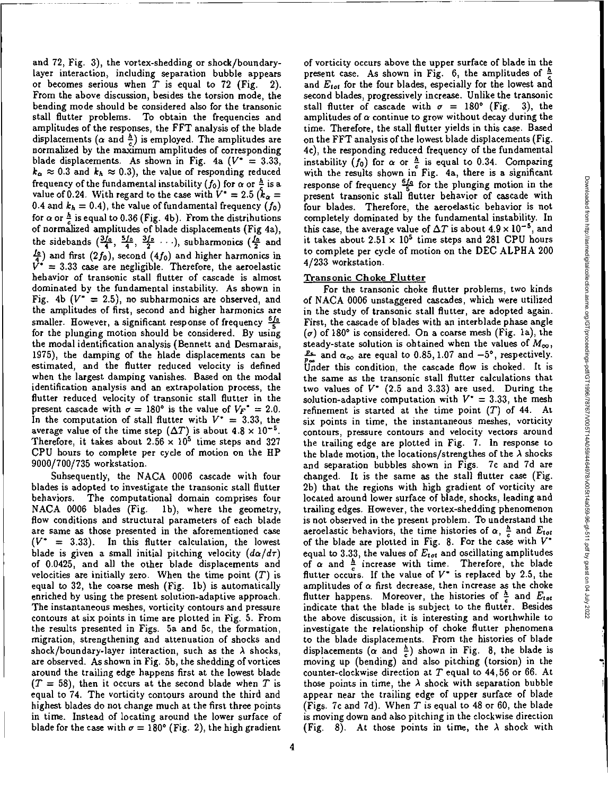and 72, Fig. 3), the vortex-shedding or shock/boundarylayer interaction, including separation bubble appears or becomes serious when  $T$  is equal to 72 (Fig. 2). From the above discussion, besides the torsion mode, the bending mode should be considered also for the transonic stall flutter problems. To obtain the frequencies and amplitudes of the responses, the FFT analysis of the blade displacements ( $\alpha$  and  $\frac{\hbar}{c}$ ) is employed. The amplitudes are normalized by the maximum amplitudes of corresponding blade displacements. As shown in Fig. 4a  $(V^* = 3.33,$  $k_{\alpha} \approx 0.3$  and  $k_{h} \approx 0.3$ ), the value of responding reduced frequency of the fundamental instability  $(f_0)$  for  $\alpha$  or  $\frac{h}{f}$  is a value of 0.24. With regard to the case with  $V^* = 2.5$  ( $k_\alpha =$ 0.4 and  $k_h = 0.4$ ), the value of fundamental frequency  $(f_0)$ for  $\alpha$  or  $\frac{h}{c}$  is equal to 0.36 (Fig. 4b). From the distributions of normalized amplitudes of blade displacements (Fig 4a), the sidebands  $(\frac{3f_0}{4}, \frac{5f_0}{4}, \frac{3f_0}{2} \cdots)$ , subharmonics  $(\frac{f_0}{2}$  and  $\frac{f_0}{4}$  and first (2 $f_0$ ), second (4 $f_0$ ) and higher harmonics in  $V^* = 3.33$  case are negligible. Therefore, the aeroelastic behavior of transonic stall flutter of cascade is almost dominated by the fundamental instability. As shown in Fig. 4b ( $V^* = 2.5$ ), no subharmonics are observed, and the amplitudes of first, second and higher harmonics are smaller. However, a significant response of frequency  $\frac{6f_0}{5}$ for the plunging motion should be considered. By using the modal identification analysis (Bennett and Desmarais, 1975), the damping of the blade displacements can be estimated, and the flutter reduced velocity is defined when the largest damping vanishes. Based on the modal *identification* analysis and an extrapolation process, the flutter reduced velocity of transonic stall flutter in the present cascade with  $\sigma = 180^\circ$  is the value of  $V_F^* = 2.0$ . In the computation of stall flutter with  $V^* = 3.33$ , the average value of the time step  $(\Delta T)$  is about  $4.8 \times 10^{-5}$ . Therefore, it takes about  $2.56 \times 10^5$  time steps and 327 CPU hours to complete per cycle of motion on the HP 9000/700/735 workstation.

Subsequently, the NACA 0006 cascade with four blades is adopted to investigate the transonic stall flutter behaviors. The computational domain comprises four NACA 0006 blades (Fig. lb), where the geometry, flow conditions and structural parameters of each blade are same as those presented in the aforementioned case  $(V^* = 3.33)$ . In this flutter calculation, the lowest blade is given a small initial pitching velocity  $(d\alpha/d\tau)$ of 0.0425, and all the other blade displacements and velocities are initially zero. When the time point *(T)* is equal to 32, the coarse mesh (Fig. lb) is automatically enriched by using the present solution-adaptive approach. The instantaneous meshes, vorticity contours and pressure contours at six points *in time are* plotted in Fig. 5. From the results presented in Figs. 5a and Sc, the formation, migration, strengthening and attenuation of shocks and shock/boundary-layer interaction, such as the  $\lambda$  shocks, are observed. As shown in Fig. 5b, the shedding of vortices around the trailing edge happens first at the lowest blade  $(T = 58)$ , then it occurs at the second blade when *T* is equal to 74. The vorticity contours around the third and highest blades do not change much at the first three points in time. Instead of locating around the lower surface of blade for the case with  $\sigma = 180^{\circ}$  (Fig. 2), the high gradient

of vorticity occurs above the upper surface of blade in the present case. As shown in Fig. 6, the amplitudes of  $\frac{h}{f}$ and  $E_{tot}$  for the four blades, especially for the lowest and second blades, progressively increase. Unlike the transonic stall flutter of cascade with  $\sigma = 180^{\circ}$  (Fig. 3), the amplitudes of  $\alpha$  continue to grow without decay during the time. Therefore, the stall flutter yields in this case. Based on the FFT analysis of the lowest blade displacements (Fig. 4c), the responding reduced frequency of the fundamental instability  $(f_0)$  for  $\alpha$  or  $\frac{h}{c}$  is equal to 0.34. Comparing with the results shown in Fig. 4a, there is a significant response of frequency  $\frac{6f_0}{5}$  for the plunging motion in the present transonic stall flutter behavior of cascade with four blades. Therefore, the aeroelastic behavior is not completely dominated by the fundamental instability. In this case, the average value of  $\Delta T$  is about  $4.9 \times 10^{-5}$ , and it takes about  $2.51 \times 10^5$  time steps and 281 CPU hours to complete per cycle of motion on the DEC ALPHA 200 4/233 workstation. For the transonic choke flutter problems, two kinds

## Transonic Choke Flutter

of NACA 0006 unstaggered cascades, which were utilized in the study of transonic stall flutter, are adopted again. First, the cascade of blades with an interblade phase angle  $(\sigma)$  of 180° is considered. On a coarse mesh (Fig. 1a), the steady-state solution is obtained when the values of  $M_{\infty}$ ,  $\frac{p}{n}$  and  $\alpha_{\infty}$  are equal to 0.85, 1.07 and  $-5^{\circ}$ , respectively. produce this condition, the cascade flow is choked. It is the same as the transonic stall flutter calculations that two values of  $V^*$  (2.5 and 3.33) are used. During the solution-adaptive computation with  $V^* = 3.33$ , the mesh refinement is started at the time point *(T)* of 44. At six points in time, the instantaneous meshes, vorticity contours, pressure contours and velocity vectors around the trailing edge are plotted in Fig. 7. In response to the blade motion, the locations/strengthes of the  $\lambda$  shocks and separation bubbles shown in Figs. 7c and 7d are changed. It is the same as the stall flutter case (Fig. 2b) that the regions with high gradient of vorticity are located around lower surface of blade, shocks, leading and trailing edges. However, the vortex-shedding phenomenon is not observed in the present problem. To understand the aeroelastic behaviors, the time histories of  $\alpha$ ,  $\frac{h}{c}$  and  $E_{tot}$ of the blade are plotted in Fig. 8. For the case with  $V^*$ equal to 3.33, the values of  $E_{tot}$  and oscillating amplitudes of  $\alpha$  and  $\frac{h}{a}$  increase with time. Therefore, the blade flutter occurs. If the value of  $V^*$  is replaced by 2.5, the amplitudes of  $\alpha$  first decrease, then increase as the choke flutter happens. Moreover, the histories of  $\frac{h}{c}$  and  $E_{tot}$ indicate that the blade is subject to the flutter. Besides the above discussion, it is interesting and worthwhile to investigate the relationship of choke flutter phenomena to the blade displacements. From the histories of blade displacements ( $\alpha$  and  $\frac{h}{\epsilon}$ ) shown in Fig. 8, the blade is moving up (bending) and also pitching (torsion) in the counter-clockwise direction at *T* equal to 44,56 or 66. At those points in time, the  $\lambda$  shock with separation bubble appear near the trailing edge of upper surface of blade (Figs. 7c and 7d). When *T* is equal to 48 or 60, the blade is moving down and also pitching in the clockwise direction (Fig. 8). At those points in time, the  $\lambda$  shock with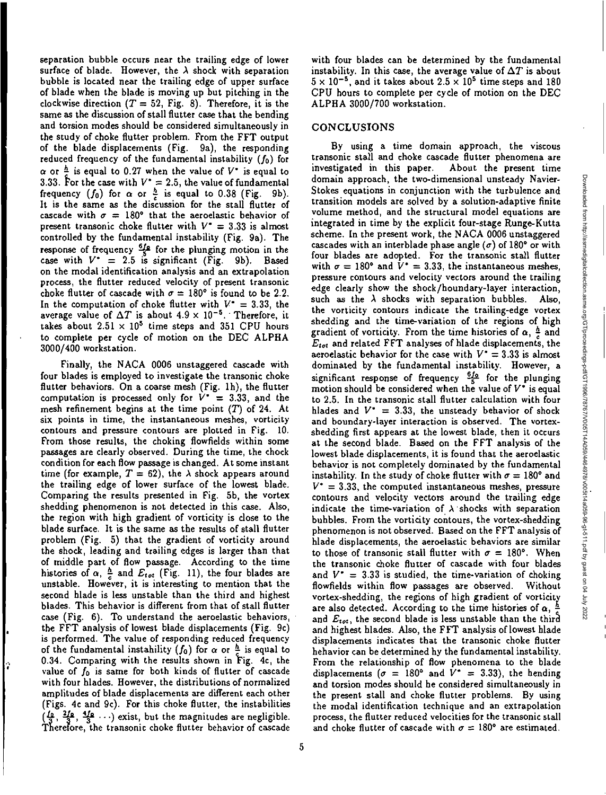separation bubble occurs near the trailing edge of lower surface of blade. However, the  $\lambda$  shock with separation bubble is located near the trailing edge of upper surface of blade when the blade is moving up but pitching in the clockwise direction  $(T = 52,$  Fig. 8). Therefore, it is the same as the discussion of stall flutter case that the bending and torsion modes should be considered simultaneously in the study of choke flutter problem. From the FFT output of the blade displacements (Fig. 9a), the responding reduced frequency of the fundamental instability  $(f_0)$  for  $\alpha$  or  $\frac{\hbar}{4}$  is equal to 0.27 when the value of  $V^*$  is equal to 3.33. For the case with  $V^* = 2.5$ , the value of fundamental frequency  $(f_0)$  for  $\alpha$  or  $\frac{h}{c}$  is equal to 0.38 (Fig. 9b). It is the same as the discussion for the stall flutter of cascade with  $\sigma = 180^{\circ}$  that the aeroelastic behavior of present transonic choke flutter with  $V^* = 3.33$  is almost controlled by the fundamental instability (Fig. 9a). The response of frequency  $\frac{61}{5}$  for the plunging motion in the case with  $V^* = 2.5$  is significant (Fig. 9b). Based on the modal identification analysis and an extrapolation process, the flutter reduced velocity of present transonic choke flutter of cascade with  $\sigma = 180^{\circ}$  is found to be 2.2. In the computation of choke flutter with  $V^* = 3.33$ , the average value of  $\Delta T$  is about  $4.9 \times 10^{-5}$ . Therefore, it takes about  $2.51 \times 10^5$  time steps and 351 CPU hours to complete per cycle of motion on the DEC ALPHA 3000/400 workstation.

Finally, the NACA 0006 unstaggered cascade with four blades is employed to investigate the transonic choke flutter behaviors. On a coarse mesh (Fig. 1h), the flutter computation is processed only for  $V^* = 3.33$ , and the mesh refinement begins at the time point  $(T)$  of 24. At six points in time, the instantaneous meshes, vorticity contours and pressure contours are plotted in Fig. 10. From those results, the choking flowfields within some passages are clearly observed. During the time, the chock condition for each flow passage is changed. At some instant time (for example,  $T = 62$ ), the  $\lambda$  shock appears around the trailing edge of lower surface of the lowest blade. Comparing the results presented in Fig. 5b, the vortex shedding phenomenon is not detected in this case. Also, the region with high gradient of vorticity is close to the blade surface. It is the same as the results of stall flutter problem (Fig. 5) that the gradient of vorticity around the shock, leading and trailing edges is larger than that of middle part of flow passage. According to the time histories of  $\alpha$ ,  $\frac{h}{c}$  and  $E_{tot}$  (Fig. 11), the four blades are unstable. However, it is interesting to mention that the second blade is less unstable than the third and highest blades. This behavior is different from that of stall flutter case (Fig. 6). To understand the aeroelastic behaviors, the FFT analysis of lowest blade displacements (Fig. 9c) is performed. The value of responding reduced frequency of the fundamental instability  $(f_0)$  for  $\alpha$  or  $\frac{\alpha}{\epsilon}$  is equal to 0.34. Comparing with the results shown in Fig. 4c, the value of  $f_0$  is same for both kinds of flutter of cascade with four hlades. However, the distributions of normalized amplitudes of blade displacements are different each other (Figs. 9c and 9c). For this choke flutter, the instabilities  $(\frac{10}{3}, \frac{210}{3}, \frac{410}{3} \cdots)$  exist, but the magnitudes are negligible. Therefore, the transonic choke flutter behavior of cascade with four blades can be determined by the fundamental instability. In this case, the average value of  $\Delta T$  is about  $5 \times 10^{-5}$ , and it takes about  $2.5 \times 10^5$  time steps and 180 CPU hours to complete per cycle of motion on the DEC ALPHA 3000/700 workstation.

#### CONCLUSIONS

By using a time domain approach, the viscous transonic stall and choke cascade flutter phenomena are investigated in this paper. About the present time domain approach, the two-dimensional unsteady Navier-Stokes equations in conjunction with the turbulence and transition models are solved by a solution-adaptive finite volume method, and the structural model equations are integrated in time by the explicit four-stage Runge-Kutta scheme. In the present work, the NACA 0006 unstaggered cascades with an interblade phase angle  $(\sigma)$  of 180° or with four blades are adopted. For the transonic stall flutter with  $\sigma = 180^{\circ}$  and  $V^* = 3.33$ , the instantaneous meshes, pressure contours and velocity vectors around the trailing edge clearly show the shock/boundary-layer interaction, such as the  $\lambda$  shocks with separation bubbles. Also, the vorticity contours indicate the trailing-edge vortex shedding and the time-variation of the regions of high gradient of vorticity. From the time histories of  $\alpha$ ,  $\frac{h}{a}$  and  $E_{tot}$  and related FFT analyses of hlade displacements, the aeroelastic behavior for the case with  $V^* = 3.33$  is almost dominated by the fundamental instability. However, a significant response of frequency  $\frac{610}{5}$  for the plunging motion should be considered when the value of  $V^*$  is equal to 2.5. In the transonic stall flutter calculation with four hlades and  $V^* = 3.33$ , the unsteady behavior of shock and boundary-layer interaction is observed. The vortexshedding first appears at the lowest blade, then it occurs at the second blade. Based on the FFT analysis of the lowest blade displacements, it is found that the aeroelastic behavior is not completely dominated by the fundamental instability. In the study of choke flutter with  $\sigma = 180^\circ$  and  $V^* = 3.33$ , the computed instantaneous meshes, pressure contours and velocity vectors around the trailing edge indicate the time-variation of  $\lambda$  shocks with separation bubbles. From the vorticity contours, the vortex-shedding phenomenon is not observed. Based on the FFT analysis of blade displacements, the aeroelastic behaviors are similar to those of transonic stall flutter with  $\sigma = 180^{\circ}$ . When the transonic choke flutter of cascade with four blades and  $V^* = 3.33$  is studied, the time-variation of choking flowfields within flow passages are observed. Without vortex-shedding, the regions of high gradient of vorticity are also detected. According to the time histories of  $\alpha$ ,  $\frac{h}{\epsilon}$ and  $E_{tot}$ , the second blade is less unstable than the third and highest blades. Also, the FFT analysis of lowest blade displacements indicates that the transonic choke flutter behavior can be determined by the fundamental instability. From the relationship of flow phenomena to the blade displacements ( $\sigma = 180^\circ$  and  $\tilde{V}^* = 3.33$ ), the hending and torsion modes should be considered simultaneously in the present stall and choke flutter problems. By using the modal identification technique and an extrapolation process, the flutter reduced velocities for the transonic stall and choke flutter of cascade with  $\sigma = 180^{\circ}$  are estimated.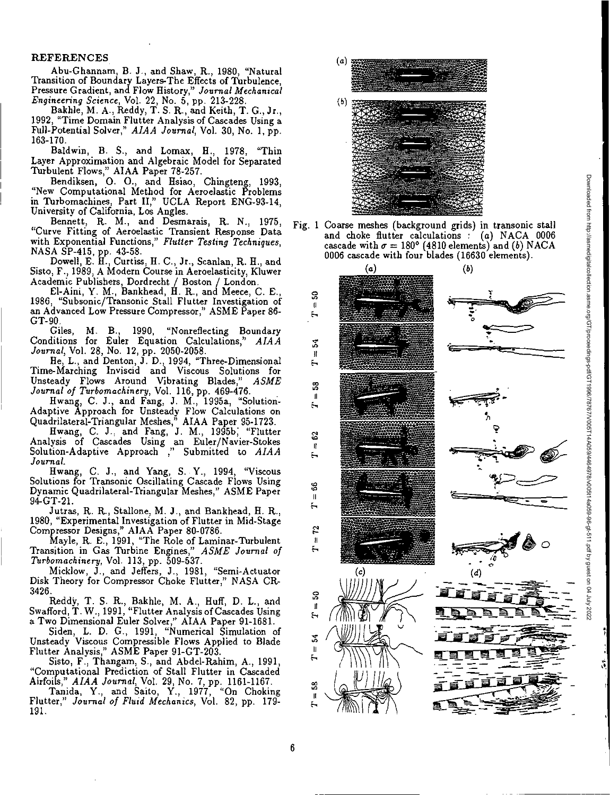### REFERENCES

Abu-Ghannam, B. J., and Shaw, R., 1980, "Natural Transition of Boundary Layers-The Effects of Turbulence, Pressure Gradient, and Flow History," *Journal Mechanical Engineering Science,* Vol. 22, No. 5, pp. 213-228.

Bakhle, M. A., Reddy, T. S. R., and Keith, T. G., Jr., 1992, "Time Domain Flutter Analysis of Cascades Using a Full-Potential Solver," *AMA Journal,* Vol. 30, No. 1, pp. 163-170.

Baldwin, B. S., and Lomax, H., 1978, "Thin Layer Approximation and Algebraic Model for Separated Turbulent Flows," AIAA Paper 78-257.

Bendiksen, O. 0., and Hsiao, Chingteng, 1993, "New Computational Method for Aeroelastic Problems in Turbomachines, Part II," UCLA Report ENG-93-14, University of California, Los Angles.

Bennett, R. M., and Desmarais, R. N., 1975, "Curve Fitting of Aeroelastic Transient Response Data with Exponential Functions," *Flutter Testing Techniques,*  NASA SP-415, pp. 43-58.

Dowell, E. H., Curtiss, H. C., Jr., Scanlan, R. H. and Sisto, F., 1989, A Modern Course in Aeroelasticity, Kluwer Academic Publishers, Dordrecht / Boston / London.

El-Aini, Y. M., Bankhead, H. R., and Meece, C. E., 1986, "Subsonic/Transonic Stall Flutter Investigation of an Advanced Low Pressure Compressor," ASME Paper 86- GT-90.

Giles, M. B., 1990, "Nonreflecting Boundary Conditions for Euler Equation Calculations," *AIAA Journal,* Vol. 28, No. 12, pp. 2050-2058.

He, L., and Denton, J. D., 1994, "Three-Dimensional Time-Marching Inviscid and Viscous Solutions for Unsteady Flows Around Vibrating Blades," *ASME Journal of Turbomachinery,* Vol. 116, pp. 469-476.

Hwang, C. J., and Fang, J. M., 1995a, "Solution-Adaptive Approach for Unsteady Flow Calculations on Quadrilateral-Triangular Meshes," AIAA Paper 95-1723.

Hwang, C. J. and Fang, J. M., 1995b; "Flutter Analysis of Cascades Using an Euler/Navier-Stokes Solution-Adaptive Approach ," Submitted to *AIAA Journal.* 

Hwang, C. J., and Yang, S. Y., 1994, "Viscous Solutions for Transonic Oscillating Cascade Flows Using Dynamic Quadrilateral-Triangular Meshes," ASME Paper 94-GT-21.

Jutras, R. R., Stallone, M. J., and Bankhead, H. R., 1980, "Experimental Investigation of Flutter in Mid-Stage Compressor Designs," AIAA Paper 80-0786.

Mayle, R. E., 1991, "The Role of Laminar-Turbulent Transition in Gas Turbine Engines," *ASME Journal of Turbomachinery,* Vol. 113, pp. 509-537.

Micklow, J., and Jeffers, J., 1981, "Semi-Actuator Disk Theory for Compressor Choke Flutter," NASA CR-3426.

ReddY, T. S. R., Bakhle, M. A., Huff, D. L., and Swafford, T. W., 1991, "Flutter Analysis of Cascades Using a Two Dimensional Euler Solver," AIAA Paper 91-1681.

Siden י<br>' L. D. G., 1991, "Numerical Simulation of Unsteady Viscous Compressible Flows Applied to Blade Flutter Analysis," ASME Paper 91-GT-203.

Sisto, F., Thangam, S., and Abdel-Rahim, A., 1991, "Computational Prediction of Stall Flutter in Cascaded Airfoils," *AIAA Journal,* Vol. 29, No. 7, pp. 1161-1167.

Tanida, Y., and Saito, Y., 1977, "On Choking Flutter," *Journal of Fluid Mechanics,* Vol. 82, pp. 179- 191.



Fig. 1 Coarse meshes (background grids) in transonic stall and choke flutter calculations : (a) NAGA 0006 cascade with  $\sigma = 180^{\circ}$  (4810 elements) and *(b)* NACA 0006 cascade with four blades (16630 elements).

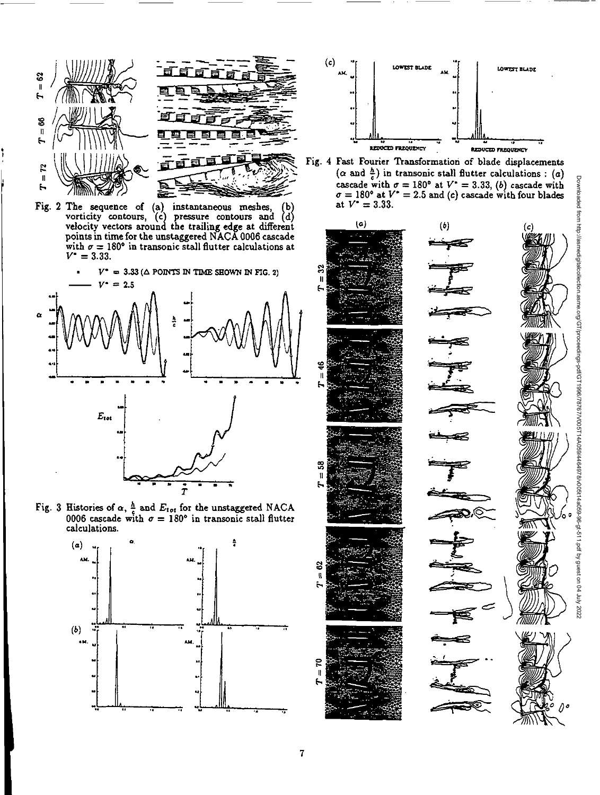

Fig. 2 The sequence of (a) instantaneous meshes, (b) vorticity contours,  $(c)$  pressure contours and  $(d)$ velocity vectors **aroun**d the trailing edge at different points in time for the unstaggered NACA 0006 cascade with  $\sigma = 180^\circ$  in transonic stall flutter calculations at  $V^* = 3.33.$ 



Fig. 3 Histories of  $\alpha$ ,  $\frac{h}{c}$  and  $E_{tot}$  for the unstaggered NACA 0006 cascade with  $\sigma = 180^{\circ}$  in transonic stall flutter calculations.





Fig. 4 Fast Fourier Transformation of blade displacements  $(\alpha$  and  $\frac{h}{c})$  in transonic stall flutter calculations : (a) cascade with  $\sigma = 180^{\circ}$  at  $V^* = 3.33$ , *(b)* cascade with  $\sigma = 180^{\circ}$  at  $V^* = 2.5$  and (c) cascade with four blades at  $V^* = 3.33$ .



2



0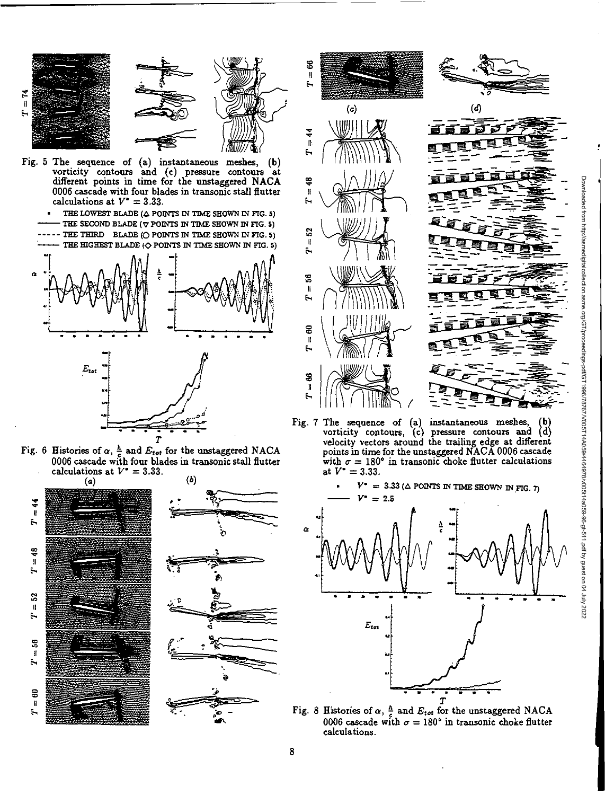

- Fig. 5 The sequence of (a) instantaneous meshes, (b) vorticity contours and (c) pressure contours at different points in time for the unstaggered NACA 0006 cascade with four blades in transonic stall flutter calculations at  $V^* = 3.33$ .
	- THE LOWEST BLADE ( $\Delta$  POINTS IN TIME SHOWN IN FIG. 5) THE SECOND BLADE  $(\bigtriangledown$  POINTS IN TIME SHOWN IN FIG. 5) -- THE THIRD BLADE (O POINTS IN TIME SHOWN IN FIG. 5) THE HIGHEST BLADE  $\{\bigcirc$  POINTS IN TIME SHOWN IN FIG. 5)



Fig. 6 Histories of  $\alpha$ ,  $\frac{h}{c}$  and  $E_{tot}$  for the unstaggered NACA 0006 cascade with four blades in transonic stall flutter







Fig. *7* The sequence of (a) instantaneous meshes, (b) vorticity contours, (c) pressure contours and (d) velocity vectors around the trailing edge at different points in time for the unstaggered NACA 0006 cascade with  $\sigma = 180^\circ$  in transonic choke flutter calculations at  $V^* = 3.33$ .

Downloaded from http://asmedigitalcollection.asme.org/GT/proceedings-pdf/GT1996/78767/V005T14A059/4464978/v005t14a059-96-gt-511.pdf by guest on 04 July 2022



Fig. 8 Histories of  $\alpha$ ,  $\frac{h}{c}$  and  $E_{tot}$  for the unstaggered NACA 0006 cascade with  $\sigma = 180^\circ$  in transonic choke flutter calculations.